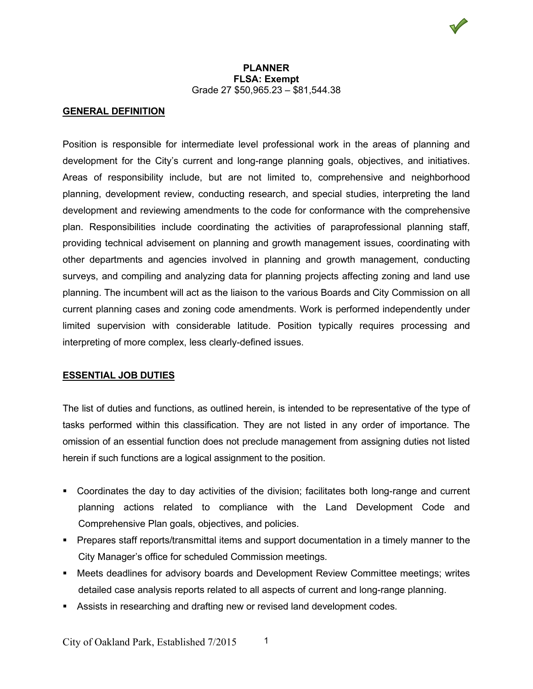## **GENERAL DEFINITION**

Position is responsible for intermediate level professional work in the areas of planning and development for the City's current and long-range planning goals, objectives, and initiatives. Areas of responsibility include, but are not limited to, comprehensive and neighborhood planning, development review, conducting research, and special studies, interpreting the land development and reviewing amendments to the code for conformance with the comprehensive plan. Responsibilities include coordinating the activities of paraprofessional planning staff, providing technical advisement on planning and growth management issues, coordinating with other departments and agencies involved in planning and growth management, conducting surveys, and compiling and analyzing data for planning projects affecting zoning and land use planning. The incumbent will act as the liaison to the various Boards and City Commission on all current planning cases and zoning code amendments. Work is performed independently under limited supervision with considerable latitude. Position typically requires processing and interpreting of more complex, less clearly-defined issues.

## **ESSENTIAL JOB DUTIES**

The list of duties and functions, as outlined herein, is intended to be representative of the type of tasks performed within this classification. They are not listed in any order of importance. The omission of an essential function does not preclude management from assigning duties not listed herein if such functions are a logical assignment to the position.

- Coordinates the day to day activities of the division; facilitates both long-range and current planning actions related to compliance with the Land Development Code and Comprehensive Plan goals, objectives, and policies.
- **Prepares staff reports/transmittal items and support documentation in a timely manner to the** City Manager's office for scheduled Commission meetings.
- Meets deadlines for advisory boards and Development Review Committee meetings; writes detailed case analysis reports related to all aspects of current and long-range planning.
- Assists in researching and drafting new or revised land development codes.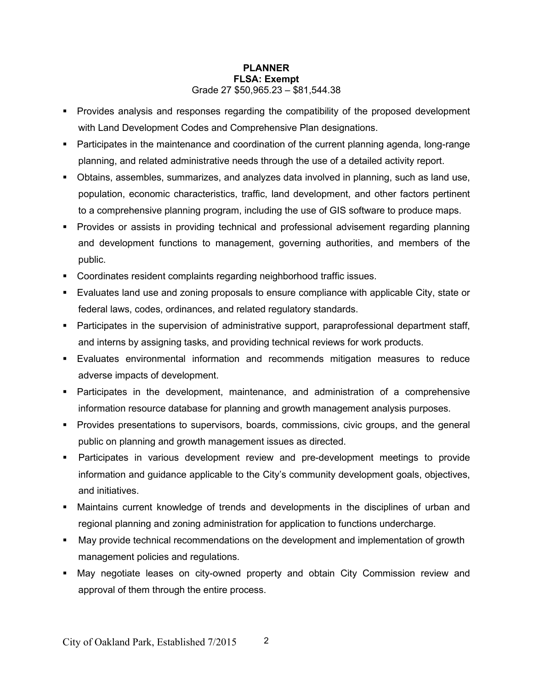- Provides analysis and responses regarding the compatibility of the proposed development with Land Development Codes and Comprehensive Plan designations.
- Participates in the maintenance and coordination of the current planning agenda, long-range planning, and related administrative needs through the use of a detailed activity report.
- Obtains, assembles, summarizes, and analyzes data involved in planning, such as land use, population, economic characteristics, traffic, land development, and other factors pertinent to a comprehensive planning program, including the use of GIS software to produce maps.
- Provides or assists in providing technical and professional advisement regarding planning and development functions to management, governing authorities, and members of the public.
- Coordinates resident complaints regarding neighborhood traffic issues.
- Evaluates land use and zoning proposals to ensure compliance with applicable City, state or federal laws, codes, ordinances, and related regulatory standards.
- Participates in the supervision of administrative support, paraprofessional department staff, and interns by assigning tasks, and providing technical reviews for work products.
- Evaluates environmental information and recommends mitigation measures to reduce adverse impacts of development.
- Participates in the development, maintenance, and administration of a comprehensive information resource database for planning and growth management analysis purposes.
- **Provides presentations to supervisors, boards, commissions, civic groups, and the general** public on planning and growth management issues as directed.
- Participates in various development review and pre-development meetings to provide information and guidance applicable to the City's community development goals, objectives, and initiatives.
- Maintains current knowledge of trends and developments in the disciplines of urban and regional planning and zoning administration for application to functions undercharge.
- May provide technical recommendations on the development and implementation of growth management policies and regulations.
- May negotiate leases on city-owned property and obtain City Commission review and approval of them through the entire process.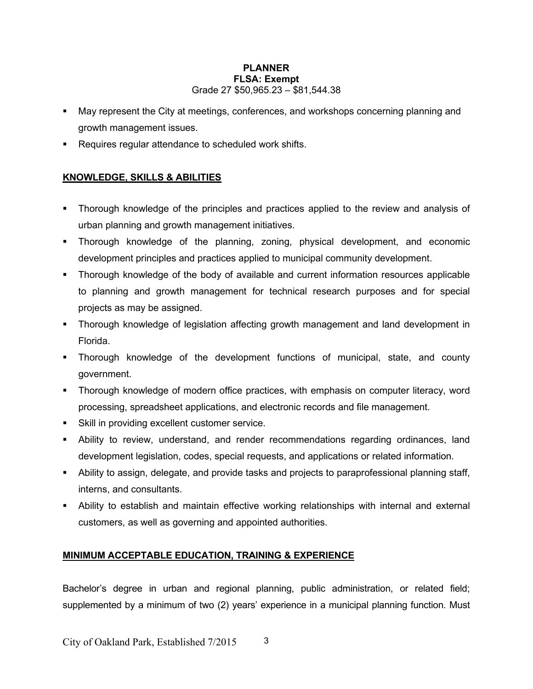- May represent the City at meetings, conferences, and workshops concerning planning and growth management issues.
- **Requires regular attendance to scheduled work shifts.**

# **KNOWLEDGE, SKILLS & ABILITIES**

- Thorough knowledge of the principles and practices applied to the review and analysis of urban planning and growth management initiatives.
- Thorough knowledge of the planning, zoning, physical development, and economic development principles and practices applied to municipal community development.
- Thorough knowledge of the body of available and current information resources applicable to planning and growth management for technical research purposes and for special projects as may be assigned.
- Thorough knowledge of legislation affecting growth management and land development in Florida.
- Thorough knowledge of the development functions of municipal, state, and county government.
- Thorough knowledge of modern office practices, with emphasis on computer literacy, word processing, spreadsheet applications, and electronic records and file management.
- Skill in providing excellent customer service.
- Ability to review, understand, and render recommendations regarding ordinances, land development legislation, codes, special requests, and applications or related information.
- Ability to assign, delegate, and provide tasks and projects to paraprofessional planning staff, interns, and consultants.
- Ability to establish and maintain effective working relationships with internal and external customers, as well as governing and appointed authorities.

## **MINIMUM ACCEPTABLE EDUCATION, TRAINING & EXPERIENCE**

Bachelor's degree in urban and regional planning, public administration, or related field; supplemented by a minimum of two (2) years' experience in a municipal planning function. Must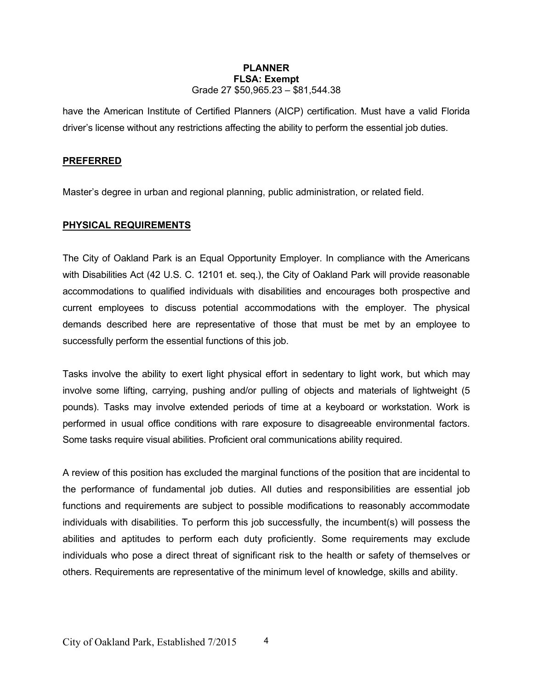have the American Institute of Certified Planners (AICP) certification. Must have a valid Florida driver's license without any restrictions affecting the ability to perform the essential job duties.

## **PREFERRED**

Master's degree in urban and regional planning, public administration, or related field.

## **PHYSICAL REQUIREMENTS**

The City of Oakland Park is an Equal Opportunity Employer. In compliance with the Americans with Disabilities Act (42 U.S. C. 12101 et. seq.), the City of Oakland Park will provide reasonable accommodations to qualified individuals with disabilities and encourages both prospective and current employees to discuss potential accommodations with the employer. The physical demands described here are representative of those that must be met by an employee to successfully perform the essential functions of this job.

Tasks involve the ability to exert light physical effort in sedentary to light work, but which may involve some lifting, carrying, pushing and/or pulling of objects and materials of lightweight (5 pounds). Tasks may involve extended periods of time at a keyboard or workstation. Work is performed in usual office conditions with rare exposure to disagreeable environmental factors. Some tasks require visual abilities. Proficient oral communications ability required.

A review of this position has excluded the marginal functions of the position that are incidental to the performance of fundamental job duties. All duties and responsibilities are essential job functions and requirements are subject to possible modifications to reasonably accommodate individuals with disabilities. To perform this job successfully, the incumbent(s) will possess the abilities and aptitudes to perform each duty proficiently. Some requirements may exclude individuals who pose a direct threat of significant risk to the health or safety of themselves or others. Requirements are representative of the minimum level of knowledge, skills and ability.